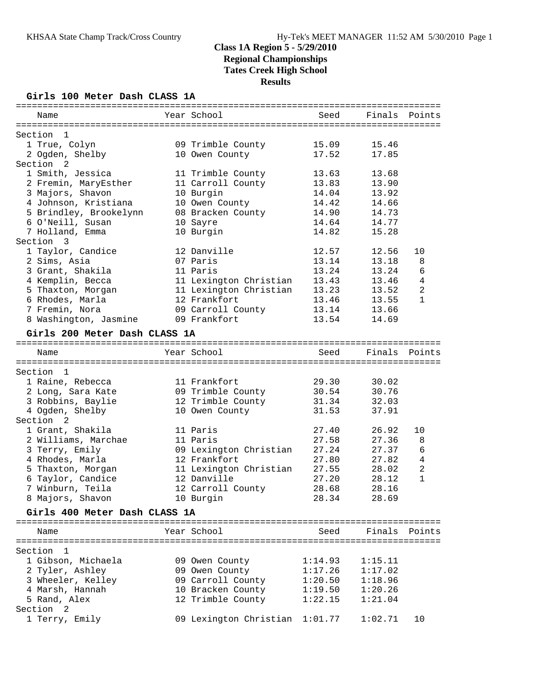#### **Girls 100 Meter Dash CLASS 1A**

| Name                          | Year School            | Seed    | Finals  | Points       |
|-------------------------------|------------------------|---------|---------|--------------|
| Section<br>- 1                |                        |         |         |              |
| 1 True, Colyn                 | 09 Trimble County      | 15.09   | 15.46   |              |
| 2 Ogden, Shelby               | 10 Owen County         | 17.52   | 17.85   |              |
| Section 2                     |                        |         |         |              |
| 1 Smith, Jessica              | 11 Trimble County      | 13.63   | 13.68   |              |
| 2 Fremin, MaryEsther          | 11 Carroll County      | 13.83   | 13.90   |              |
|                               |                        | 14.04   | 13.92   |              |
| 3 Majors, Shavon              | 10 Burgin              | 14.42   | 14.66   |              |
| 4 Johnson, Kristiana          | 10 Owen County         |         |         |              |
| 5 Brindley, Brookelynn        | 08 Bracken County      | 14.90   | 14.73   |              |
| 6 O'Neill, Susan              | 10 Sayre               | 14.64   | 14.77   |              |
| 7 Holland, Emma               | 10 Burgin              | 14.82   | 15.28   |              |
| Section<br>- 3                |                        |         |         |              |
| 1 Taylor, Candice             | 12 Danville            | 12.57   | 12.56   | 10           |
| 2 Sims, Asia                  | 07 Paris               | 13.14   | 13.18   | 8            |
| 3 Grant, Shakila              | 11 Paris               | 13.24   | 13.24   | 6            |
| 4 Kemplin, Becca              | 11 Lexington Christian | 13.43   | 13.46   | 4            |
| 5 Thaxton, Morgan             | 11 Lexington Christian | 13.23   | 13.52   | 2            |
| 6 Rhodes, Marla               | 12 Frankfort           | 13.46   | 13.55   | $\mathbf{1}$ |
| 7 Fremin, Nora                | 09 Carroll County      | 13.14   | 13.66   |              |
| 8 Washington, Jasmine         | 09 Frankfort           | 13.54   | 14.69   |              |
| Girls 200 Meter Dash CLASS 1A |                        |         |         |              |
| Name                          | Year School            | Seed    | Finals  | Points       |
|                               |                        |         |         |              |
| Section 1                     |                        |         |         |              |
| 1 Raine, Rebecca              | 11 Frankfort           | 29.30   | 30.02   |              |
| 2 Long, Sara Kate             | 09 Trimble County      | 30.54   | 30.76   |              |
| 3 Robbins, Baylie             | 12 Trimble County      | 31.34   | 32.03   |              |
| 4 Ogden, Shelby               | 10 Owen County         | 31.53   | 37.91   |              |
| Section <sub>2</sub>          |                        |         |         |              |
| 1 Grant, Shakila              | 11 Paris               | 27.40   | 26.92   | 10           |
| 2 Williams, Marchae           | 11 Paris               | 27.58   | 27.36   | 8            |
| 3 Terry, Emily                | 09 Lexington Christian | 27.24   | 27.37   | 6            |
| 4 Rhodes, Marla               | 12 Frankfort           | 27.80   | 27.82   | 4            |
| 5 Thaxton, Morgan             | 11 Lexington Christian | 27.55   | 28.02   | 2            |
| 6 Taylor, Candice             | 12 Danville            | 27.20   | 28.12   | $\mathbf{1}$ |
| 7 Winburn, Teila              | 12 Carroll County      | 28.68   | 28.16   |              |
| 8 Majors, Shavon              | 10 Burgin              | 28.34   | 28.69   |              |
| Girls 400 Meter Dash CLASS 1A |                        |         |         |              |
|                               |                        |         |         |              |
| Name                          | Year School            | Seed    | Finals  | Points       |
|                               |                        |         |         |              |
| Section<br>- 1                |                        |         |         |              |
| 1 Gibson, Michaela            | 09 Owen County         | 1:14.93 | 1:15.11 |              |
| 2 Tyler, Ashley               | 09 Owen County         | 1:17.26 | 1:17.02 |              |
| 3 Wheeler, Kelley             | 09 Carroll County      | 1:20.50 | 1:18.96 |              |
| 4 Marsh, Hannah               | 10 Bracken County      | 1:19.50 | 1:20.26 |              |
| 5 Rand, Alex                  | 12 Trimble County      | 1:22.15 | 1:21.04 |              |
| Section <sub>2</sub>          |                        |         |         |              |
| 1 Terry, Emily                | 09 Lexington Christian | 1:01.77 | 1:02.71 | 10           |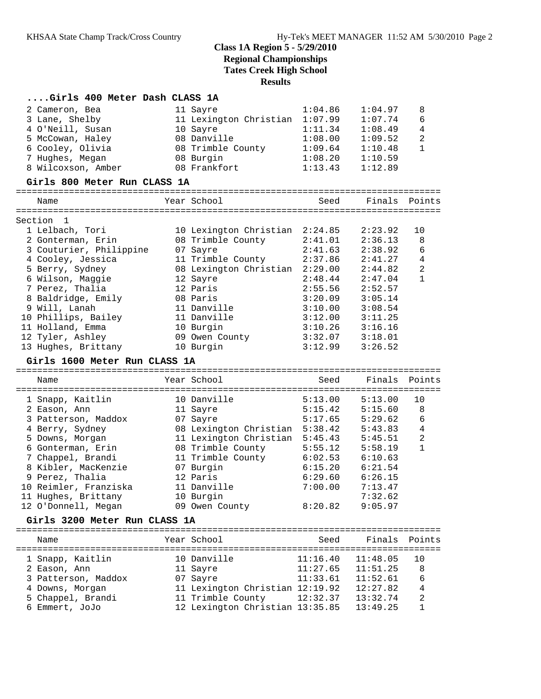#### **....Girls 400 Meter Dash CLASS 1A**

| 2 Cameron, Bea                       | 11 Sayre                                             | 1:04.86  | 1:04.97              | 8              |
|--------------------------------------|------------------------------------------------------|----------|----------------------|----------------|
| 3 Lane, Shelby                       | 11 Lexington Christian 1:07.99                       |          | 1:07.74              | 6              |
| 4 O'Neill, Susan                     | 10 Sayre                                             | 1:11.34  | 1:08.49              | 4              |
| 5 McCowan, Haley                     | 08 Danville                                          | 1:08.00  | 1:09.52              | 2              |
| 6 Cooley, Olivia                     | 08 Trimble County                                    | 1:09.64  | 1:10.48              | $\mathbf{1}$   |
| 7 Hughes, Megan                      | 08 Burgin                                            | 1:08.20  | 1:10.59              |                |
| 8 Wilcoxson, Amber                   | 08 Frankfort                                         | 1:13.43  | 1:12.89              |                |
|                                      |                                                      |          |                      |                |
| Girls 800 Meter Run CLASS 1A         |                                                      |          |                      |                |
|                                      |                                                      |          |                      |                |
| Name                                 | Year School                                          | Seed     | Finals Points        |                |
|                                      |                                                      |          |                      |                |
| Section 1                            |                                                      |          |                      |                |
| 1 Lelbach, Tori                      | 10 Lexington Christian 2:24.85                       |          | 2:23.92              | 10             |
| 2 Gonterman, Erin                    | 08 Trimble County                                    | 2:41.01  | 2:36.13              | 8              |
| 3 Couturier, Philippine              | 07 Sayre                                             | 2:41.63  | 2:38.92              | 6              |
| 4 Cooley, Jessica                    | 11 Trimble County                                    | 2:37.86  | 2:41.27              | $\overline{4}$ |
| 5 Berry, Sydney                      | 08 Lexington Christian 2:29.00                       |          | 2:44.82              | $\sqrt{2}$     |
| 6 Wilson, Maggie                     | 12 Sayre                                             | 2:48.44  | 2:47.04              | $\mathbf{1}$   |
| 7 Perez, Thalia                      | 12 Paris                                             | 2:55.56  | 2:52.57              |                |
| 8 Baldridge, Emily                   | 08 Paris                                             | 3:20.09  | 3:05.14              |                |
| 9 Will, Lanah                        | 11 Danville                                          | 3:10.00  | 3:08.54              |                |
| 10 Phillips, Bailey                  | 11 Danville                                          | 3:12.00  | 3:11.25              |                |
| 11 Holland, Emma                     | 10 Burgin                                            | 3:10.26  | 3:16.16              |                |
| 12 Tyler, Ashley                     | 09 Owen County                                       | 3:32.07  | 3:18.01              |                |
|                                      |                                                      |          |                      |                |
| 13 Hughes, Brittany                  | 10 Burgin                                            | 3:12.99  | 3:26.52              |                |
|                                      |                                                      |          |                      |                |
| Girls 1600 Meter Run CLASS 1A        |                                                      |          |                      |                |
|                                      |                                                      |          |                      |                |
| Name                                 | Year School                                          | Seed     | Finals               | Points         |
|                                      |                                                      |          |                      |                |
| 1 Snapp, Kaitlin                     | 10 Danville                                          | 5:13.00  | 5:13.00              | 10             |
| 2 Eason, Ann                         | 11 Sayre                                             | 5:15.42  | 5:15.60              | 8              |
| 3 Patterson, Maddox                  | 07 Sayre                                             | 5:17.65  | 5:29.62              | 6              |
| 4 Berry, Sydney                      | 08 Lexington Christian 5:38.42                       |          | 5:43.83              | $\overline{4}$ |
| 5 Downs, Morgan                      | 11 Lexington Christian 5:45.43                       |          | 5:45.51              | $\overline{a}$ |
| 6 Gonterman, Erin                    | 08 Trimble County                                    | 5:55.12  | 5:58.19              | $\mathbf{1}$   |
|                                      | 11 Trimble County                                    | 6:02.53  | 6:10.63              |                |
| 7 Chappel, Brandi                    |                                                      |          | 6:21.54              |                |
| 8 Kibler, MacKenzie                  | 07 Burgin                                            | 6:15.20  |                      |                |
| 9 Perez, Thalia                      | 12 Paris                                             | 6:29.60  | 6:26.15              |                |
| 10 Reimler, Franziska                | 11 Danville                                          | 7:00.00  | 7:13.47              |                |
| 11 Hughes, Brittany                  | 10 Burgin                                            |          | 7:32.62              |                |
| 12 O'Donnell, Megan                  | 09 Owen County                                       | 8:20.82  | 9:05.97              |                |
| Girls 3200 Meter Run CLASS 1A        |                                                      |          |                      |                |
| ============================         |                                                      |          |                      |                |
| Name                                 | Year School                                          | Seed     | Finals               | Points         |
|                                      |                                                      |          |                      |                |
| 1 Snapp, Kaitlin                     | 10 Danville                                          | 11:16.40 | 11:48.05             | 10             |
| 2 Eason, Ann                         | 11 Sayre                                             | 11:27.65 | 11:51.25             | 8              |
| 3 Patterson, Maddox                  | 07 Sayre                                             | 11:33.61 | 11:52.61             | 6              |
| 4 Downs, Morgan<br>5 Chappel, Brandi | 11 Lexington Christian 12:19.92<br>11 Trimble County | 12:32.37 | 12:27.82<br>13:32.74 | 4<br>2         |

6 Emmert, JoJo 12 Lexington Christian 13:35.85 13:49.25 1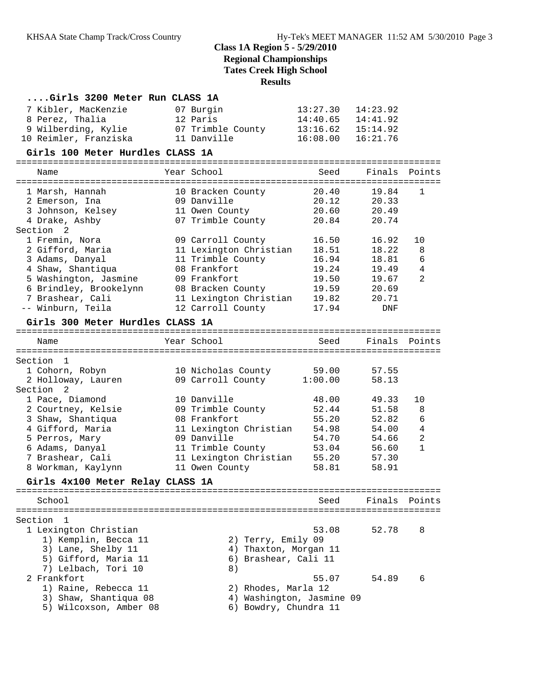## **Class 1A Region 5 - 5/29/2010 Regional Championships**

**Tates Creek High School**

**Results**

| Girls 3200 Meter Run CLASS 1A              |                                               |                       |                     |                                  |
|--------------------------------------------|-----------------------------------------------|-----------------------|---------------------|----------------------------------|
| 7 Kibler, MacKenzie                        | 07 Burgin                                     | 13:27.30              | 14:23.92            |                                  |
| 8 Perez, Thalia                            | 12 Paris                                      | 14:40.65              | 14:41.92            |                                  |
| 9 Wilberding, Kylie                        | 07 Trimble County                             | $13:16.62$ $15:14.92$ |                     |                                  |
| 10 Reimler, Franziska                      | 11 Danville                                   | 16:08.00              | 16:21.76            |                                  |
| Girls 100 Meter Hurdles CLASS 1A           |                                               |                       |                     |                                  |
| Name                                       | Year School                                   | Seed                  | Finals              | Points                           |
|                                            |                                               |                       |                     |                                  |
| 1 Marsh, Hannah                            | 10 Bracken County                             | 20.40                 | 19.84               | $\mathbf{1}$                     |
| 2 Emerson, Ina                             | 09 Danville                                   | 20.12                 | 20.33               |                                  |
| 3 Johnson, Kelsey                          | 11 Owen County                                | 20.60                 | 20.49               |                                  |
| 4 Drake, Ashby                             | 07 Trimble County                             | 20.84                 | 20.74               |                                  |
| Section<br>2                               |                                               |                       |                     |                                  |
| 1 Fremin, Nora                             | 09 Carroll County                             | 16.50                 | 16.92               | 10                               |
| 2 Gifford, Maria                           | 11 Lexington Christian                        | 18.51                 | 18.22               | 8                                |
| 3 Adams, Danyal                            | 11 Trimble County                             | 16.94                 | 18.81               | 6                                |
| 4 Shaw, Shantiqua                          | 08 Frankfort                                  | 19.24                 | 19.49               | 4                                |
| 5 Washington, Jasmine                      | 09 Frankfort                                  | 19.50                 | 19.67               | 2                                |
| 6 Brindley, Brookelynn                     | 08 Bracken County                             | 19.59                 | 20.69               |                                  |
| 7 Brashear, Cali<br>-- Winburn, Teila      | 11 Lexington Christian                        | 19.82<br>17.94        | 20.71<br><b>DNF</b> |                                  |
|                                            | 12 Carroll County                             |                       |                     |                                  |
| Girls 300 Meter Hurdles CLASS 1A           |                                               |                       |                     |                                  |
| Name                                       | Year School                                   | Seed                  | Finals Points       |                                  |
|                                            |                                               |                       |                     |                                  |
| Section<br>1                               |                                               |                       |                     |                                  |
| 1 Cohorn, Robyn                            | 10 Nicholas County                            | 59.00                 | 57.55               |                                  |
| 2 Holloway, Lauren                         | 09 Carroll County                             | 1:00.00               | 58.13               |                                  |
| Section<br>2                               |                                               |                       |                     |                                  |
| 1 Pace, Diamond                            | 10 Danville                                   | 48.00                 | 49.33               | 10                               |
| 2 Courtney, Kelsie                         | 09 Trimble County                             | 52.44                 | 51.58               | 8                                |
| 3 Shaw, Shantiqua                          | 08 Frankfort                                  | 55.20                 | 52.82               | 6                                |
| 4 Gifford, Maria                           | 11 Lexington Christian                        | 54.98                 | 54.00               | $\overline{4}$<br>$\overline{a}$ |
| 5 Perros, Mary                             | 09 Danville<br>11 Trimble County              | 54.70<br>53.04        | 54.66<br>56.60      | $\mathbf{1}$                     |
| 6 Adams, Danyal<br>7 Brashear, Cali        | 11 Lexington Christian                        | 55.20                 | 57.30               |                                  |
| 8 Workman, Kaylynn                         | 11 Owen County                                | 58.81                 | 58.91               |                                  |
|                                            |                                               |                       |                     |                                  |
| Girls 4x100 Meter Relay CLASS 1A           |                                               |                       |                     |                                  |
| School                                     |                                               | Seed                  | Finals Points       |                                  |
|                                            |                                               |                       |                     |                                  |
| Section 1                                  |                                               |                       |                     |                                  |
| 1 Lexington Christian                      |                                               | 53.08                 | 52.78               | 8                                |
| 1) Kemplin, Becca 11<br>3) Lane, Shelby 11 | 2) Terry, Emily 09                            |                       |                     |                                  |
| 5) Gifford, Maria 11                       | 4) Thaxton, Morgan 11<br>6) Brashear, Cali 11 |                       |                     |                                  |
| 7) Lelbach, Tori 10                        | 8)                                            |                       |                     |                                  |
| 2 Frankfort                                |                                               | 55.07                 | 54.89               | 6                                |
| 1) Raine, Rebecca 11                       | 2) Rhodes, Marla 12                           |                       |                     |                                  |
| 3) Shaw, Shantiqua 08                      | 4) Washington, Jasmine 09                     |                       |                     |                                  |
| 5) Wilcoxson, Amber 08                     | 6) Bowdry, Chundra 11                         |                       |                     |                                  |
|                                            |                                               |                       |                     |                                  |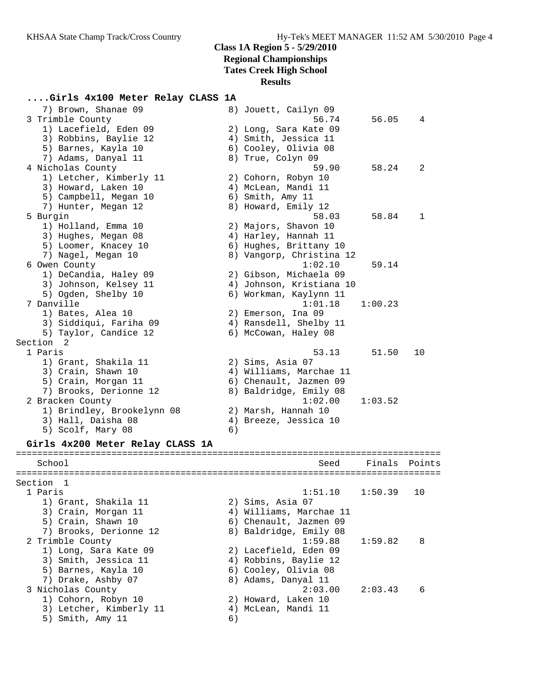#### **....Girls 4x100 Meter Relay CLASS 1A**

| 7) Brown, Shanae 09                       |    | 8) Jouett, Cailyn 09          |         |        |
|-------------------------------------------|----|-------------------------------|---------|--------|
| 3 Trimble County                          |    | 56.74                         | 56.05   | 4      |
| 1) Lacefield, Eden 09                     |    | 2) Long, Sara Kate 09         |         |        |
| 3) Robbins, Baylie 12                     |    | 4) Smith, Jessica 11          |         |        |
| 5) Barnes, Kayla 10                       |    | 6) Cooley, Olivia 08          |         |        |
| 7) Adams, Danyal 11                       |    | 8) True, Colyn 09             |         |        |
| 4 Nicholas County                         |    | 59.90                         | 58.24   | 2      |
| 1) Letcher, Kimberly 11                   |    | 2) Cohorn, Robyn 10           |         |        |
| 3) Howard, Laken 10                       |    | 4) McLean, Mandi 11           |         |        |
| 5) Campbell, Megan 10                     |    | 6) Smith, Amy 11              |         |        |
| 7) Hunter, Megan 12                       |    | 8) Howard, Emily 12           |         |        |
| 5 Burgin                                  |    | 58.03                         | 58.84   | 1      |
| 1) Holland, Emma 10                       |    | 2) Majors, Shavon 10          |         |        |
| 3) Hughes, Megan 08                       |    | 4) Harley, Hannah 11          |         |        |
| 5) Loomer, Knacey 10                      |    | 6) Hughes, Brittany 10        |         |        |
| 7) Nagel, Megan 10                        |    | 8) Vangorp, Christina 12      |         |        |
| 6 Owen County                             |    | 1:02.10                       | 59.14   |        |
| 1) DeCandia, Haley 09                     |    | 2) Gibson, Michaela 09        |         |        |
| 3) Johnson, Kelsey 11                     |    | 4) Johnson, Kristiana 10      |         |        |
| 5) Ogden, Shelby 10                       |    | 6) Workman, Kaylynn 11        |         |        |
| 7 Danville                                |    | 1:01.18                       | 1:00.23 |        |
| 1) Bates, Alea 10                         |    | 2) Emerson, Ina 09            |         |        |
| 3) Siddiqui, Fariha 09                    |    | 4) Ransdell, Shelby 11        |         |        |
| 5) Taylor, Candice 12                     |    | 6) McCowan, Haley 08          |         |        |
| Section<br>- 2                            |    |                               |         |        |
| 1 Paris                                   |    | 53.13                         | 51.50   | 10     |
| 1) Grant, Shakila 11                      |    | 2) Sims, Asia 07              |         |        |
| 3) Crain, Shawn 10                        |    | 4) Williams, Marchae 11       |         |        |
| 5) Crain, Morgan 11                       |    | 6) Chenault, Jazmen 09        |         |        |
| 7) Brooks, Derionne 12                    |    | 8) Baldridge, Emily 08        |         |        |
| 2 Bracken County                          |    | 1:02.00                       | 1:03.52 |        |
| 1) Brindley, Brookelynn 08                |    | 2) Marsh, Hannah 10           |         |        |
| 3) Hall, Daisha 08                        |    | 4) Breeze, Jessica 10         |         |        |
| 5) Scolf, Mary 08                         | 6) |                               |         |        |
|                                           |    |                               |         |        |
| Girls 4x200 Meter Relay CLASS 1A          |    |                               |         |        |
| ==========<br>=========================== |    | ----------------------------- |         |        |
| School                                    |    | Seed                          | Finals  | Points |
|                                           |    |                               |         |        |
| Section 1                                 |    |                               |         |        |
| 1 Paris                                   |    | 1:51.10                       | 1:50.39 | 10     |
| 1) Grant, Shakila 11                      |    | 2) Sims, Asia 07              |         |        |
| 3) Crain, Morgan 11                       |    | 4) Williams, Marchae 11       |         |        |
| 5) Crain, Shawn 10                        |    | 6) Chenault, Jazmen 09        |         |        |
| 7) Brooks, Derionne 12                    |    | 8) Baldridge, Emily 08        |         |        |
| 2 Trimble County                          |    | 1:59.88                       | 1:59.82 | 8      |
| 1) Long, Sara Kate 09                     |    | 2) Lacefield, Eden 09         |         |        |
| 3) Smith, Jessica 11                      |    | 4) Robbins, Baylie 12         |         |        |
| 5) Barnes, Kayla 10                       |    | 6) Cooley, Olivia 08          |         |        |
| 7) Drake, Ashby 07                        |    | 8) Adams, Danyal 11           |         |        |

- 7) Drake, Ashby 07 8) Adams, Danyal 11 3 Nicholas County 2:03.00 2:03.43 6
- 1) Cohorn, Robyn 10 2) Howard, Laken 10 3) Letcher, Kimberly 11 (4) McLean, Mandi 11

5) Smith, Amy 11 6)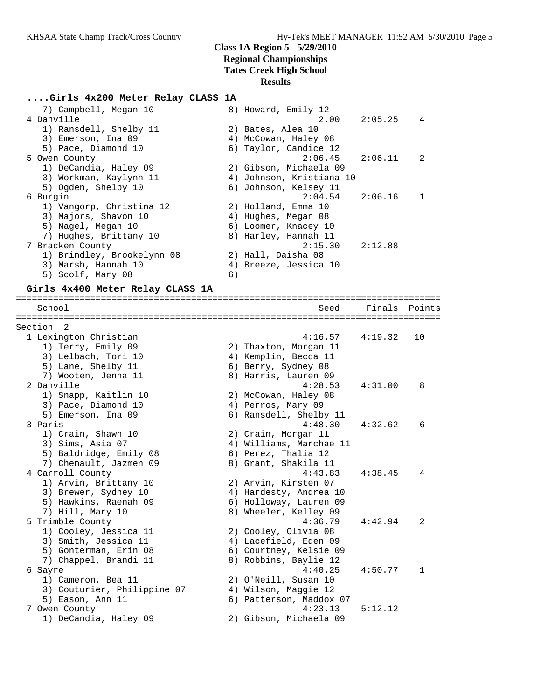#### **....Girls 4x200 Meter Relay CLASS 1A**

| 7) Campbell, Megan 10      | 8) Howard, Emily 12      |                            |
|----------------------------|--------------------------|----------------------------|
| 4 Danville                 |                          | $2.00 \qquad 2:05.25$<br>4 |
| 1) Ransdell, Shelby 11     | 2) Bates, Alea 10        |                            |
| 3) Emerson, Ina 09         | 4) McCowan, Haley 08     |                            |
| 5) Pace, Diamond 10        | 6) Taylor, Candice 12    |                            |
| 5 Owen County              | $2:06.45$ $2:06.11$      | -2                         |
| 1) DeCandia, Haley 09      | 2) Gibson, Michaela 09   |                            |
| 3) Workman, Kaylynn 11     | 4) Johnson, Kristiana 10 |                            |
| 5) Ogden, Shelby 10        | 6) Johnson, Kelsey 11    |                            |
| 6 Burgin                   | $2:04.54$ $2:06.16$      | -1                         |
| 1) Vangorp, Christina 12   | 2) Holland, Emma 10      |                            |
| 3) Majors, Shavon 10       | 4) Hughes, Megan 08      |                            |
| 5) Nagel, Megan 10         | 6) Loomer, Knacey 10     |                            |
| 7) Hughes, Brittany 10     | 8) Harley, Hannah 11     |                            |
| 7 Bracken County           | $2:15.30$ $2:12.88$      |                            |
| 1) Brindley, Brookelynn 08 | 2) Hall, Daisha 08       |                            |
| 3) Marsh, Hannah 10        | 4) Breeze, Jessica 10    |                            |
| 5) Scolf, Mary 08<br>6)    |                          |                            |

#### **Girls 4x400 Meter Relay CLASS 1A**

================================================================================ School Seed Finals Points ================================================================================ Section 2 1 Lexington Christian 4:16.57 4:19.32 10 1) Terry, Emily 09 2) Thaxton, Morgan 11 3) Lelbach, Tori 10  $\hskip10mm$  4) Kemplin, Becca 11 5) Lane, Shelby 11 6) Berry, Sydney 08 7) Wooten, Jenna 11  $\hskip1cm 8)$  Harris, Lauren 09 2 Danville 4:28.53 4:31.00 8 1) Snapp, Kaitlin 10 2) McCowan, Haley 08 3) Pace, Diamond 10 4) Perros, Mary 09 5) Emerson, Ina 09 6) Ransdell, Shelby 11 3 Paris 4:48.30 4:32.62 6 1) Crain, Shawn 10 2) Crain, Morgan 11 3) Sims, Asia 07 4) Williams, Marchae 11 5) Baldridge, Emily 08 6) Perez, Thalia 12 7) Chenault, Jazmen 09 8) Grant, Shakila 11 4 Carroll County 4:43.83 4:38.45 4 1) Arvin, Brittany 10 2) Arvin, Kirsten 07 3) Brewer, Sydney 10 4) Hardesty, Andrea 10 5) Hawkins, Raenah 09 6) Holloway, Lauren 09 7) Hill, Mary 10 8) Wheeler, Kelley 09 5 Trimble County 4:36.79 4:42.94 2 1) Cooley, Jessica 11 2) Cooley, Olivia 08 3) Smith, Jessica 11 4) Lacefield, Eden 09 5) Gonterman, Erin 08 6) Courtney, Kelsie 09 7) Chappel, Brandi 11 8) Robbins, Baylie 12 6 Sayre 4:40.25 4:50.77 1 1) Cameron, Bea 11 2) O'Neill, Susan 10 3) Couturier, Philippine 07 4) Wilson, Maggie 12 5) Eason, Ann 11 6) Patterson, Maddox 07 7 Owen County 4:23.13 5:12.12 1) DeCandia, Haley 09 2) Gibson, Michaela 09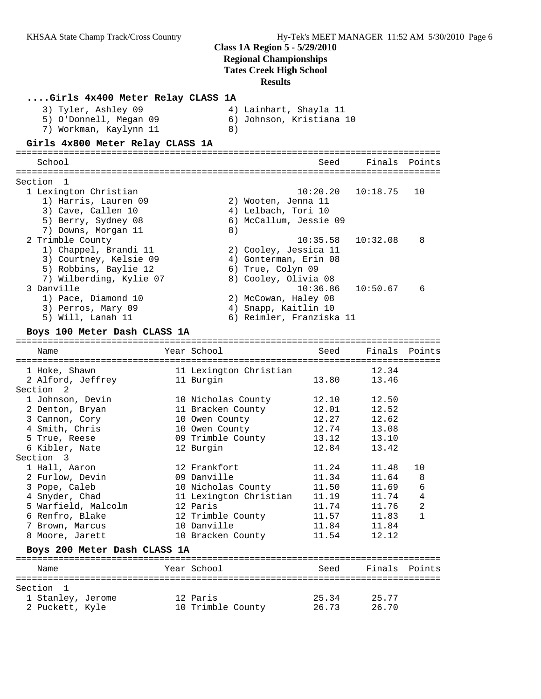| Girls 4x400 Meter Relay CLASS 1A |                                  |                          |                |               |
|----------------------------------|----------------------------------|--------------------------|----------------|---------------|
| 3) Tyler, Ashley 09              |                                  | 4) Lainhart, Shayla 11   |                |               |
| 5) O'Donnell, Megan 09           |                                  | 6) Johnson, Kristiana 10 |                |               |
| 7) Workman, Kaylynn 11           | 8)                               |                          |                |               |
| Girls 4x800 Meter Relay CLASS 1A |                                  |                          |                |               |
| School                           |                                  | Seed                     |                | Finals Points |
|                                  |                                  |                          |                |               |
| Section 1                        |                                  |                          |                |               |
| 1 Lexington Christian            |                                  | 10:20.20                 | 10:18.75       | 10            |
| 1) Harris, Lauren 09             |                                  | 2) Wooten, Jenna 11      |                |               |
| 3) Cave, Callen 10               |                                  | 4) Lelbach, Tori 10      |                |               |
| 5) Berry, Sydney 08              |                                  | 6) McCallum, Jessie 09   |                |               |
| 7) Downs, Morgan 11              | 8)                               |                          |                |               |
| 2 Trimble County                 |                                  | 10:35.58                 | 10:32.08       | 8             |
| 1) Chappel, Brandi 11            |                                  | 2) Cooley, Jessica 11    |                |               |
| 3) Courtney, Kelsie 09           |                                  | 4) Gonterman, Erin 08    |                |               |
| 5) Robbins, Baylie 12            | 6) True, Colyn 09                |                          |                |               |
| 7) Wilberding, Kylie 07          |                                  | 8) Cooley, Olivia 08     |                |               |
| 3 Danville                       |                                  | 10:36.86                 | 10:50.67       | 6             |
| 1) Pace, Diamond 10              |                                  | 2) McCowan, Haley 08     |                |               |
| 3) Perros, Mary 09               |                                  | 4) Snapp, Kaitlin 10     |                |               |
| 5) Will, Lanah 11                |                                  | 6) Reimler, Franziska 11 |                |               |
| Boys 100 Meter Dash CLASS 1A     |                                  |                          |                |               |
|                                  |                                  |                          |                |               |
| Name                             | Year School                      | Seed                     | Finals         | Points        |
|                                  |                                  |                          |                |               |
| 1 Hoke, Shawn                    | 11 Lexington Christian           |                          | 12.34          |               |
| 2 Alford, Jeffrey                | 11 Burgin                        | 13.80                    | 13.46          |               |
| Section <sub>2</sub>             |                                  |                          |                |               |
| 1 Johnson, Devin                 | 10 Nicholas County               | 12.10<br>12.01           | 12.50<br>12.52 |               |
| 2 Denton, Bryan                  | 11 Bracken County                | 12.27                    | 12.62          |               |
| 3 Cannon, Cory<br>4 Smith, Chris | 10 Owen County<br>10 Owen County | 12.74                    | 13.08          |               |
| 5 True, Reese                    | 09 Trimble County                | 13.12                    | 13.10          |               |
| 6 Kibler, Nate                   | 12 Burgin                        | 12.84                    | 13.42          |               |
| Section 3                        |                                  |                          |                |               |
| 1 Hall, Aaron                    | 12 Frankfort                     | 11.24                    | 11.48          | 10            |
| 2 Furlow, Devin                  | 09 Danville                      | 11.34                    | 11.64          | 8             |
| 3 Pope, Caleb                    | 10 Nicholas County               | 11.50                    | 11.69          | 6             |
| 4 Snyder, Chad                   | 11 Lexington Christian           | 11.19                    | 11.74          | 4             |
| 5 Warfield, Malcolm              | 12 Paris                         | 11.74                    | 11.76          | 2             |
| 6 Renfro, Blake                  | 12 Trimble County                | 11.57                    | 11.83          | 1             |
| 7 Brown, Marcus                  | 10 Danville                      | 11.84                    | 11.84          |               |
| 8 Moore, Jarett                  | 10 Bracken County                | 11.54                    | 12.12          |               |
| Boys 200 Meter Dash CLASS 1A     |                                  |                          |                |               |
| Name                             | Year School                      | Seed                     |                | Finals Points |
|                                  |                                  |                          |                |               |
| Section<br>- 1                   |                                  |                          |                |               |
| 1 Stanley, Jerome                | 12 Paris                         | 25.34                    | 25.77          |               |
| 2 Puckett, Kyle                  | 10 Trimble County                | 26.73                    | 26.70          |               |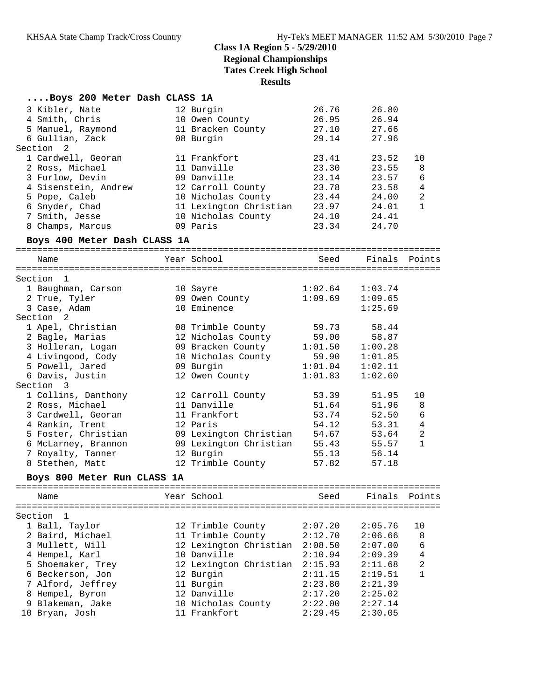## **Class 1A Region 5 - 5/29/2010 Regional Championships**

**Tates Creek High School**

**Results**

| Boys 200 Meter Dash CLASS 1A |                        |         |               |                |
|------------------------------|------------------------|---------|---------------|----------------|
| 3 Kibler, Nate               | 12 Burgin              | 26.76   | 26.80         |                |
| 4 Smith, Chris               | 10 Owen County         | 26.95   | 26.94         |                |
| 5 Manuel, Raymond            | 11 Bracken County      | 27.10   | 27.66         |                |
| 6 Gullian, Zack              | 08 Burgin              | 29.14   | 27.96         |                |
| Section<br>2                 |                        |         |               |                |
| 1 Cardwell, Georan           | 11 Frankfort           | 23.41   | 23.52         | 10             |
| 2 Ross, Michael              | 11 Danville            | 23.30   | 23.55         | 8              |
| 3 Furlow, Devin              | 09 Danville            | 23.14   | 23.57         | 6              |
| 4 Sisenstein, Andrew         | 12 Carroll County      | 23.78   | 23.58         | $\overline{4}$ |
| 5 Pope, Caleb                | 10 Nicholas County     | 23.44   | 24.00         | $\overline{2}$ |
| 6 Snyder, Chad               | 11 Lexington Christian | 23.97   | 24.01         | $\mathbf{1}$   |
| 7 Smith, Jesse               | 10 Nicholas County     | 24.10   | 24.41         |                |
| 8 Champs, Marcus             | 09 Paris               | 23.34   | 24.70         |                |
| Boys 400 Meter Dash CLASS 1A |                        |         |               |                |
| Name                         | Year School            | Seed    | Finals Points |                |
|                              |                        |         |               |                |
| Section 1                    |                        |         |               |                |
| 1 Baughman, Carson           | 10 Sayre               | 1:02.64 | 1:03.74       |                |
| 2 True, Tyler                | 09 Owen County         | 1:09.69 | 1:09.65       |                |
| 3 Case, Adam                 | 10 Eminence            |         | 1:25.69       |                |
| Section <sub>2</sub>         |                        |         |               |                |
| 1 Apel, Christian            | 08 Trimble County      | 59.73   | 58.44         |                |
| 2 Bagle, Marias              | 12 Nicholas County     | 59.00   | 58.87         |                |
| 3 Holleran, Logan            | 09 Bracken County      | 1:01.50 | 1:00.28       |                |
| 4 Livingood, Cody            | 10 Nicholas County     | 59.90   | 1:01.85       |                |
| 5 Powell, Jared              | 09 Burgin              | 1:01.04 | 1:02.11       |                |
| 6 Davis, Justin              | 12 Owen County         | 1:01.83 | 1:02.60       |                |
| Section 3                    |                        |         |               |                |
| 1 Collins, Danthony          | 12 Carroll County      | 53.39   | 51.95         | 10             |
| 2 Ross, Michael              | 11 Danville            | 51.64   | 51.96         | 8              |
| 3 Cardwell, Georan           | 11 Frankfort           | 53.74   | 52.50         | 6              |
| 4 Rankin, Trent              | 12 Paris               | 54.12   | 53.31         | $\overline{4}$ |
| 5 Foster, Christian          | 09 Lexington Christian | 54.67   | 53.64         | $\overline{a}$ |
| 6 McLarney, Brannon          | 09 Lexington Christian | 55.43   | 55.57         | $\mathbf{1}$   |
| 7 Royalty, Tanner            | 12 Burgin              | 55.13   | 56.14         |                |
| 8 Stethen, Matt              | 12 Trimble County      | 57.82   | 57.18         |                |
| Boys 800 Meter Run CLASS 1A  |                        |         |               |                |
| Name                         | Year School            | Seed    | Finals        | Points         |
|                              |                        |         |               |                |
| Section<br>1                 |                        |         |               |                |
| 1 Ball, Taylor               | 12 Trimble County      | 2:07.20 | 2:05.76       | 10             |
| 2 Baird, Michael             | 11 Trimble County      | 2:12.70 | 2:06.66       | 8              |
| 3 Mullett, Will              | 12 Lexington Christian | 2:08.50 | 2:07.00       | 6              |
| 4 Hempel, Karl               | 10 Danville            | 2:10.94 | 2:09.39       | 4              |
| 5 Shoemaker, Trey            | 12 Lexington Christian | 2:15.93 | 2:11.68       | $\sqrt{2}$     |
| 6 Beckerson, Jon             | 12 Burgin              | 2:11.15 | 2:19.51       | 1              |
| 7 Alford, Jeffrey            | 11 Burgin              | 2:23.80 | 2:21.39       |                |
| 8 Hempel, Byron              | 12 Danville            | 2:17.20 | 2:25.02       |                |
| 9 Blakeman, Jake             | 10 Nicholas County     | 2:22.00 | 2:27.14       |                |
| 10 Bryan, Josh               | 11 Frankfort           | 2:29.45 | 2:30.05       |                |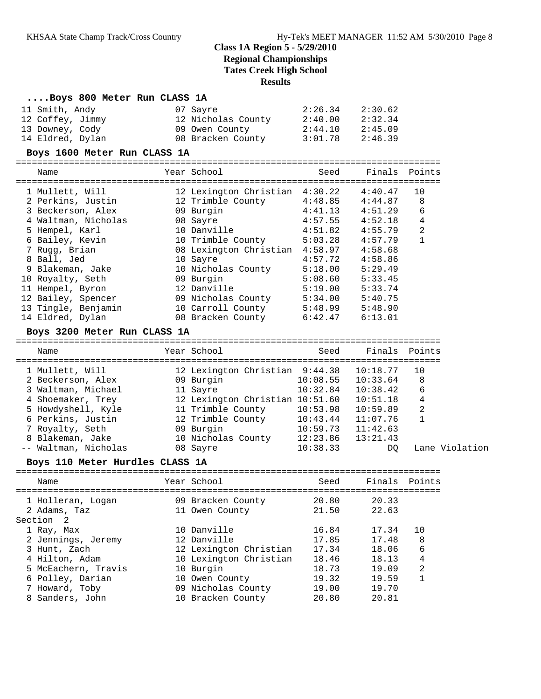#### **....Boys 800 Meter Run CLASS 1A**

| 11 Smith, Andy<br>12 Coffey, Jimmy                          | 07 Sayre<br>12 Nicholas County 2:40.00 | 2:26.34             | 2:30.62<br>2:32.34 |                |
|-------------------------------------------------------------|----------------------------------------|---------------------|--------------------|----------------|
| 13 Downey, Cody                                             | 09 Owen County 2:44.10 2:45.09         |                     |                    |                |
| 14 Eldred, Dylan                                            | 08 Bracken County 3:01.78 2:46.39      |                     |                    |                |
|                                                             |                                        |                     |                    |                |
| Boys 1600 Meter Run CLASS 1A                                |                                        |                     |                    |                |
| Name                                                        | Year School <b>Sand</b>                | Seed                | Finals Points      |                |
| 1 Mullett, Will                                             | 12 Lexington Christian 4:30.22 4:40.47 |                     |                    | 10             |
| 2 Perkins, Justin                                           | 12 Trimble County 4:48.85 4:44.87      |                     |                    | 8              |
| 3 Beckerson, Alex                                           | $4:41.13$ $4:51.29$<br>09 Burgin       |                     |                    | $\overline{6}$ |
| 4 Waltman, Nicholas                                         | 08 Sayre                               | $4:57.55$ $4:52.18$ |                    | $\overline{4}$ |
| 5 Hempel, Karl                                              | 10 Danville                            | 4:51.82 4:55.79     |                    | $\overline{2}$ |
| 6 Bailey, Kevin                                             | 10 Trimble County                      | 5:03.28             | 4:57.79            | $\mathbf{1}$   |
| 7 Rugg, Brian                                               | 08 Lexington Christian                 | 4:58.97             | 4:58.68            |                |
| 8 Ball, Jed                                                 | 10 Sayre                               | 4:57.72             | 4:58.86            |                |
| 9 Blakeman, Jake                                            | 10 Nicholas County 5:18.00             |                     | 5:29.49            |                |
| 10 Royalty, Seth                                            | 09 Burgin                              | 5:08.60             | 5:33.45            |                |
| 11 Hempel, Byron                                            | 12 Danville                            | $5:19.00$ $5:33.74$ |                    |                |
| 12 Bailey, Spencer                                          | 09 Nicholas County 5:34.00             |                     | 5:40.75            |                |
| 13 Tingle, Benjamin                                         | 10 Carroll County                      | $5:48.99$ $5:48.90$ |                    |                |
| 14 Eldred, Dylan                                            | 08 Bracken County                      | 6:42.47             | 6:13.01            |                |
| Boys 3200 Meter Run CLASS 1A<br>=========================== |                                        |                     |                    |                |

| Name                 | Year School                     | Seed     | Finals Points |                |
|----------------------|---------------------------------|----------|---------------|----------------|
| 1 Mullett, Will      | 12 Lexington Christian 9:44.38  |          | 10:18.77      | 10             |
| 2 Beckerson, Alex    | 09 Burgin                       | 10:08.55 | 10:33.64      | 8              |
| 3 Waltman, Michael   | 11 Sayre                        | 10:32.84 | 10:38.42      | 6              |
| 4 Shoemaker, Trey    | 12 Lexington Christian 10:51.60 |          | 10:51.18      | 4              |
| 5 Howdyshell, Kyle   | 11 Trimble County               | 10:53.98 | 10:59.89      | 2              |
| 6 Perkins, Justin    | 12 Trimble County               | 10:43.44 | 11:07.76      |                |
| 7 Royalty, Seth      | 09 Burgin                       | 10:59.73 | 11:42.63      |                |
| 8 Blakeman, Jake     | 10 Nicholas County              | 12:23.86 | 13:21.43      |                |
| -- Waltman, Nicholas | 08 Sayre                        | 10:38.33 | DO.           | Lane Violation |

#### **Boys 110 Meter Hurdles CLASS 1A**

| Name                                                      | Year School                                       | Seed                    | Finals Points           |               |
|-----------------------------------------------------------|---------------------------------------------------|-------------------------|-------------------------|---------------|
| 1 Holleran, Logan<br>2 Adams, Taz                         | 09 Bracken County<br>11 Owen County               | 20.80<br>21.50          | 20.33<br>22.63          |               |
| Section 2<br>1 Ray, Max<br>2 Jennings, Jeremy             | 10 Danville<br>12 Danville                        | 16.84<br>17.85          | 17.34<br>17.48          | 10<br>8       |
| 3 Hunt, Zach<br>4 Hilton, Adam                            | 12 Lexington Christian<br>10 Lexington Christian  | 17.34<br>18.46          | 18.06<br>18.13          | 6<br>4        |
| 5 McEachern, Travis<br>6 Polley, Darian<br>7 Howard, Toby | 10 Burgin<br>10 Owen County<br>09 Nicholas County | 18.73<br>19.32<br>19.00 | 19.09<br>19.59<br>19.70 | $\mathcal{L}$ |
| 8 Sanders, John                                           | 10 Bracken County                                 | 20.80                   | 20.81                   |               |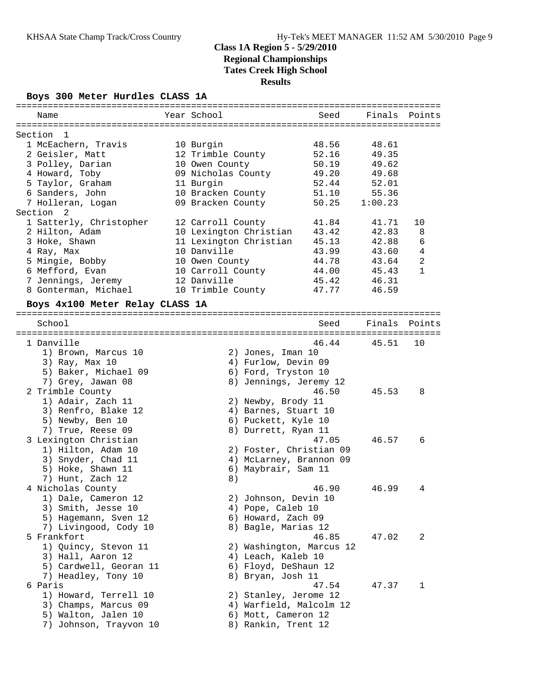#### **Boys 300 Meter Hurdles CLASS 1A**

| Name                                     | Year School                                | Seed  | Finals  | Points         |
|------------------------------------------|--------------------------------------------|-------|---------|----------------|
| Section<br>1                             |                                            |       |         |                |
| 1 McEachern, Travis                      | 10 Burgin                                  | 48.56 | 48.61   |                |
| 2 Geisler, Matt                          | 12 Trimble County                          | 52.16 | 49.35   |                |
| 3 Polley, Darian                         | 10 Owen County                             | 50.19 | 49.62   |                |
| 4 Howard, Toby                           | 09 Nicholas County                         | 49.20 | 49.68   |                |
| 5 Taylor, Graham                         | 11 Burgin                                  | 52.44 | 52.01   |                |
| 6 Sanders, John                          | 10 Bracken County                          | 51.10 | 55.36   |                |
| 7 Holleran, Logan                        | 09 Bracken County                          | 50.25 | 1:00.23 |                |
| Section 2                                |                                            |       |         |                |
| 1 Satterly, Christopher                  | 12 Carroll County                          | 41.84 | 41.71   | 10             |
| 2 Hilton, Adam                           | 10 Lexington Christian                     | 43.42 | 42.83   | 8              |
| 3 Hoke, Shawn                            | 11 Lexington Christian                     | 45.13 | 42.88   | 6              |
| 4 Ray, Max                               | 10 Danville                                | 43.99 | 43.60   | $\overline{4}$ |
| 5 Mingie, Bobby                          | 10 Owen County                             | 44.78 | 43.64   | $\overline{a}$ |
| 6 Mefford, Evan                          | 10 Carroll County                          | 44.00 | 45.43   | $\mathbf{1}$   |
| 7 Jennings, Jeremy                       | 12 Danville                                | 45.42 | 46.31   |                |
| 8 Gonterman, Michael                     | 10 Trimble County                          | 47.77 | 46.59   |                |
| Boys 4x100 Meter Relay CLASS 1A          |                                            |       |         |                |
|                                          |                                            |       |         |                |
| School                                   |                                            | Seed  | Finals  | Points         |
|                                          |                                            |       |         |                |
| 1 Danville                               |                                            | 46.44 | 45.51   | 10             |
| 1) Brown, Marcus 10                      | 2) Jones, Iman 10                          |       |         |                |
| 3) Ray, Max 10                           | 4) Furlow, Devin 09                        |       |         |                |
| 5) Baker, Michael 09                     | 6) Ford, Tryston 10                        |       |         |                |
| 7) Grey, Jawan 08                        | 8) Jennings, Jeremy 12                     | 46.50 | 45.53   | 8              |
| 2 Trimble County                         |                                            |       |         |                |
| 1) Adair, Zach 11<br>3) Renfro, Blake 12 | 2) Newby, Brody 11<br>4) Barnes, Stuart 10 |       |         |                |
| 5) Newby, Ben 10                         | 6) Puckett, Kyle 10                        |       |         |                |
| 7) True, Reese 09                        | 8) Durrett, Ryan 11                        |       |         |                |
| 3 Lexington Christian                    |                                            | 47.05 | 46.57   | 6              |
| 1) Hilton, Adam 10                       | 2) Foster, Christian 09                    |       |         |                |
| 3) Snyder, Chad 11                       | 4) McLarney, Brannon 09                    |       |         |                |
| 5) Hoke, Shawn 11                        | Maybrair, Sam 11<br>6)                     |       |         |                |
| 7) Hunt, Zach 12                         | 8)                                         |       |         |                |
| 4 Nicholas County                        |                                            | 46.90 | 46.99   | 4              |
| 1) Dale, Cameron 12                      | 2) Johnson, Devin 10                       |       |         |                |
| 3) Smith, Jesse 10                       | 4) Pope, Caleb 10                          |       |         |                |
| 5) Hagemann, Sven 12                     | 6) Howard, Zach 09                         |       |         |                |
| 7) Livingood, Cody 10                    | 8) Bagle, Marias 12                        |       |         |                |
| 5 Frankfort                              |                                            | 46.85 | 47.02   | 2              |
| 1) Quincy, Stevon 11                     | 2) Washington, Marcus 12                   |       |         |                |
| 3) Hall, Aaron 12                        | 4) Leach, Kaleb 10                         |       |         |                |
| 5) Cardwell, Georan 11                   | 6) Floyd, DeShaun 12                       |       |         |                |
| 7) Headley, Tony 10                      | 8) Bryan, Josh 11                          |       |         |                |
| 6 Paris                                  |                                            | 47.54 | 47.37   | 1              |
| 1) Howard, Terrell 10                    | 2) Stanley, Jerome 12                      |       |         |                |
| 3) Champs, Marcus 09                     | 4) Warfield, Malcolm 12                    |       |         |                |
| 5) Walton, Jalen 10                      | 6) Mott, Cameron 12                        |       |         |                |
| 7) Johnson, Trayvon 10                   | 8) Rankin, Trent 12                        |       |         |                |
|                                          |                                            |       |         |                |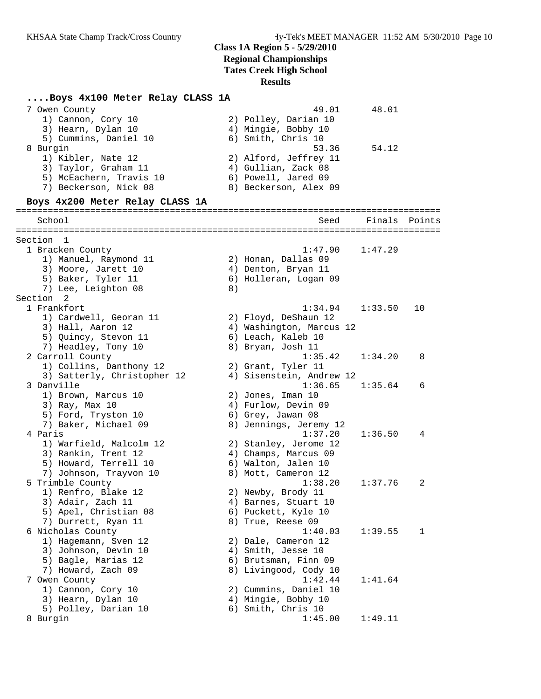# **Class 1A Region 5 - 5/29/2010**

**Regional Championships**

**Tates Creek High School**

#### **Results**

### **....Boys 4x100 Meter Relay CLASS 1A**

| 7 Owen County<br>1) Cannon, Cory 10<br>3) Hearn, Dylan 10<br>5) Cummins, Daniel 10                         |    | 49.01<br>2) Polley, Darian 10<br>4) Mingie, Bobby 10<br>6) Smith, Chris 10                            | 48.01   |        |
|------------------------------------------------------------------------------------------------------------|----|-------------------------------------------------------------------------------------------------------|---------|--------|
| 8 Burgin<br>1) Kibler, Nate 12<br>3) Taylor, Graham 11<br>5) McEachern, Travis 10<br>7) Beckerson, Nick 08 |    | 53.36<br>2) Alford, Jeffrey 11<br>4) Gullian, Zack 08<br>6) Powell, Jared 09<br>8) Beckerson, Alex 09 | 54.12   |        |
| Boys 4x200 Meter Relay CLASS 1A                                                                            |    |                                                                                                       |         |        |
| School                                                                                                     |    | Seed                                                                                                  | Finals  | Points |
| Section 1                                                                                                  |    |                                                                                                       |         |        |
| 1 Bracken County                                                                                           |    | 1:47.90                                                                                               | 1:47.29 |        |
| 1) Manuel, Raymond 11                                                                                      |    | 2) Honan, Dallas 09                                                                                   |         |        |
| 3) Moore, Jarett 10<br>5) Baker, Tyler 11                                                                  |    | 4) Denton, Bryan 11<br>6) Holleran, Logan 09                                                          |         |        |
| 7) Lee, Leighton 08                                                                                        | 8) |                                                                                                       |         |        |
| Section 2                                                                                                  |    |                                                                                                       |         |        |
| 1 Frankfort                                                                                                |    | 1:34.94                                                                                               | 1:33.50 | 10     |
| 1) Cardwell, Georan 11                                                                                     |    | 2) Floyd, DeShaun 12                                                                                  |         |        |
| 3) Hall, Aaron 12                                                                                          |    | 4) Washington, Marcus 12                                                                              |         |        |
| 5) Quincy, Stevon 11                                                                                       |    | 6) Leach, Kaleb 10                                                                                    |         |        |
| 7) Headley, Tony 10                                                                                        |    | 8) Bryan, Josh 11                                                                                     |         |        |
| 2 Carroll County                                                                                           |    | 1:35.42                                                                                               | 1:34.20 | 8      |
| 1) Collins, Danthony 12                                                                                    |    | 2) Grant, Tyler 11                                                                                    |         |        |
| 3) Satterly, Christopher 12<br>3 Danville                                                                  |    | 4) Sisenstein, Andrew 12<br>1:36.65                                                                   | 1:35.64 | 6      |
| 1) Brown, Marcus 10                                                                                        |    | 2) Jones, Iman 10                                                                                     |         |        |
| 3) Ray, Max 10                                                                                             |    | 4) Furlow, Devin 09                                                                                   |         |        |
| 5) Ford, Tryston 10                                                                                        |    | 6) Grey, Jawan 08                                                                                     |         |        |
| 7) Baker, Michael 09                                                                                       |    | 8) Jennings, Jeremy 12                                                                                |         |        |
| 4 Paris                                                                                                    |    | 1:37.20                                                                                               | 1:36.50 | 4      |
| 1) Warfield, Malcolm 12                                                                                    |    | 2) Stanley, Jerome 12                                                                                 |         |        |
| 3) Rankin, Trent 12                                                                                        |    | 4) Champs, Marcus 09                                                                                  |         |        |
| 5) Howard, Terrell 10                                                                                      |    | 6) Walton, Jalen 10                                                                                   |         |        |
| 7) Johnson, Trayvon 10                                                                                     |    | 8) Mott, Cameron 12                                                                                   |         |        |
| 5 Trimble County                                                                                           |    | 1:38.20                                                                                               | 1:37.76 | 2      |
| 1) Renfro, Blake 12<br>3) Adair, Zach 11                                                                   |    | 2) Newby, Brody 11<br>4) Barnes, Stuart 10                                                            |         |        |
| 5) Apel, Christian 08                                                                                      |    | 6) Puckett, Kyle 10                                                                                   |         |        |
| 7) Durrett, Ryan 11                                                                                        |    | 8) True, Reese 09                                                                                     |         |        |
| 6 Nicholas County                                                                                          |    | 1:40.03                                                                                               | 1:39.55 | 1      |
| 1) Hagemann, Sven 12                                                                                       |    | 2) Dale, Cameron 12                                                                                   |         |        |
| 3) Johnson, Devin 10                                                                                       |    | 4) Smith, Jesse 10                                                                                    |         |        |
| 5) Bagle, Marias 12                                                                                        |    | 6) Brutsman, Finn 09                                                                                  |         |        |
| 7) Howard, Zach 09                                                                                         |    | 8) Livingood, Cody 10                                                                                 |         |        |
| 7 Owen County                                                                                              |    | 1:42.44                                                                                               | 1:41.64 |        |
| 1) Cannon, Cory 10                                                                                         |    | 2) Cummins, Daniel 10                                                                                 |         |        |
| 3) Hearn, Dylan 10                                                                                         |    | 4) Mingie, Bobby 10                                                                                   |         |        |
| 5) Polley, Darian 10<br>8 Burgin                                                                           |    | 6) Smith, Chris 10<br>1:45.00                                                                         | 1:49.11 |        |
|                                                                                                            |    |                                                                                                       |         |        |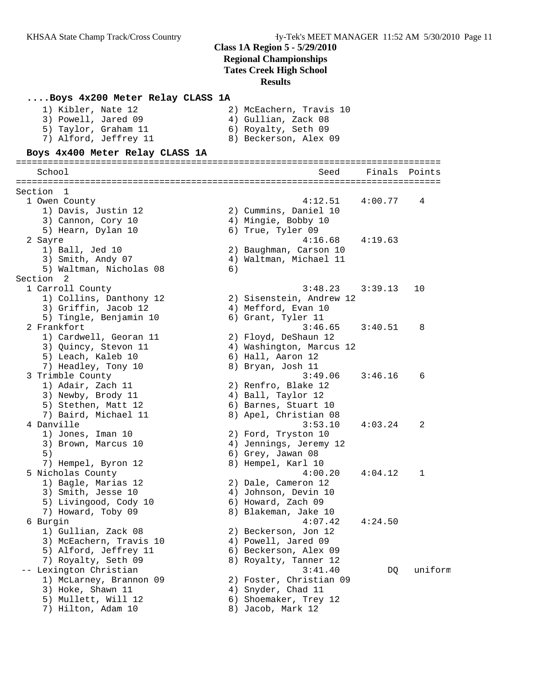| Boys 4x200 Meter Relay CLASS 1A               |    |                                  |         |         |
|-----------------------------------------------|----|----------------------------------|---------|---------|
| 1) Kibler, Nate 12                            |    | 2) McEachern, Travis 10          |         |         |
| 3) Powell, Jared 09                           |    | 4) Gullian, Zack 08              |         |         |
| 5) Taylor, Graham 11                          |    | 6) Royalty, Seth 09              |         |         |
| 7) Alford, Jeffrey 11                         |    | 8) Beckerson, Alex 09            |         |         |
| Boys 4x400 Meter Relay CLASS 1A               |    |                                  |         |         |
| School                                        |    | Seed                             | Finals  | Points  |
|                                               |    |                                  |         |         |
| Section 1                                     |    |                                  |         |         |
| 1 Owen County                                 |    | 4:12.51                          | 4:00.77 | 4       |
| 1) Davis, Justin 12                           |    | 2) Cummins, Daniel 10            |         |         |
| 3) Cannon, Cory 10                            |    | 4) Mingie, Bobby 10              |         |         |
| 5) Hearn, Dylan 10                            |    | 6) True, Tyler 09                |         |         |
| 2 Sayre                                       |    | 4:16.68                          | 4:19.63 |         |
| 1) Ball, Jed 10                               |    | 2) Baughman, Carson 10           |         |         |
| 3) Smith, Andy 07<br>5) Waltman, Nicholas 08  |    | 4) Waltman, Michael 11           |         |         |
| Section 2                                     | 6) |                                  |         |         |
| 1 Carroll County                              |    | 3:48.23                          | 3:39.13 | 10      |
| 1) Collins, Danthony 12                       |    | 2) Sisenstein, Andrew 12         |         |         |
| 3) Griffin, Jacob 12                          |    | 4) Mefford, Evan 10              |         |         |
| 5) Tingle, Benjamin 10                        |    | 6) Grant, Tyler 11               |         |         |
| 2 Frankfort                                   |    | 3:46.65                          | 3:40.51 | 8       |
| 1) Cardwell, Georan 11                        |    | 2) Floyd, DeShaun 12             |         |         |
| 3) Quincy, Stevon 11                          |    | 4) Washington, Marcus 12         |         |         |
| 5) Leach, Kaleb 10                            |    | 6) Hall, Aaron 12                |         |         |
| 7) Headley, Tony 10                           |    | 8) Bryan, Josh 11                |         |         |
| 3 Trimble County                              |    | 3:49.06                          | 3:46.16 | 6       |
| 1) Adair, Zach 11                             |    | 2) Renfro, Blake 12              |         |         |
| 3) Newby, Brody 11                            |    | 4) Ball, Taylor 12               |         |         |
| 5) Stethen, Matt 12                           |    | 6) Barnes, Stuart 10             |         |         |
| 7) Baird, Michael 11<br>4 Danville            |    | 8) Apel, Christian 08<br>3:53.10 | 4:03.24 | 2       |
| 1) Jones, Iman 10                             |    | 2) Ford, Tryston 10              |         |         |
| 3) Brown, Marcus 10                           |    | 4) Jennings, Jeremy 12           |         |         |
| 5)                                            |    | 6) Grey, Jawan 08                |         |         |
| 7) Hempel, Byron 12                           |    | 8) Hempel, Karl 10               |         |         |
| 5 Nicholas County                             |    | 4:00.20                          | 4:04.12 | 1       |
| 1) Bagle, Marias 12                           |    | 2) Dale, Cameron 12              |         |         |
| 3) Smith, Jesse 10                            |    | 4) Johnson, Devin 10             |         |         |
| 5) Livingood, Cody 10                         |    | 6) Howard, Zach 09               |         |         |
| 7) Howard, Toby 09                            |    | 8) Blakeman, Jake 10             |         |         |
| 6 Burgin                                      |    | 4:07.42                          | 4:24.50 |         |
| 1) Gullian, Zack 08                           |    | 2) Beckerson, Jon 12             |         |         |
| 3) McEachern, Travis 10                       |    | 4) Powell, Jared 09              |         |         |
| 5) Alford, Jeffrey 11                         |    | 6) Beckerson, Alex 09            |         |         |
| 7) Royalty, Seth 09<br>-- Lexington Christian |    | 8) Royalty, Tanner 12<br>3:41.40 |         | uniform |
| 1) McLarney, Brannon 09                       |    | 2) Foster, Christian 09          | DQ      |         |
| 3) Hoke, Shawn 11                             |    | 4) Snyder, Chad 11               |         |         |
| 5) Mullett, Will 12                           |    | 6) Shoemaker, Trey 12            |         |         |
| 7) Hilton, Adam 10                            |    | 8) Jacob, Mark 12                |         |         |
|                                               |    |                                  |         |         |